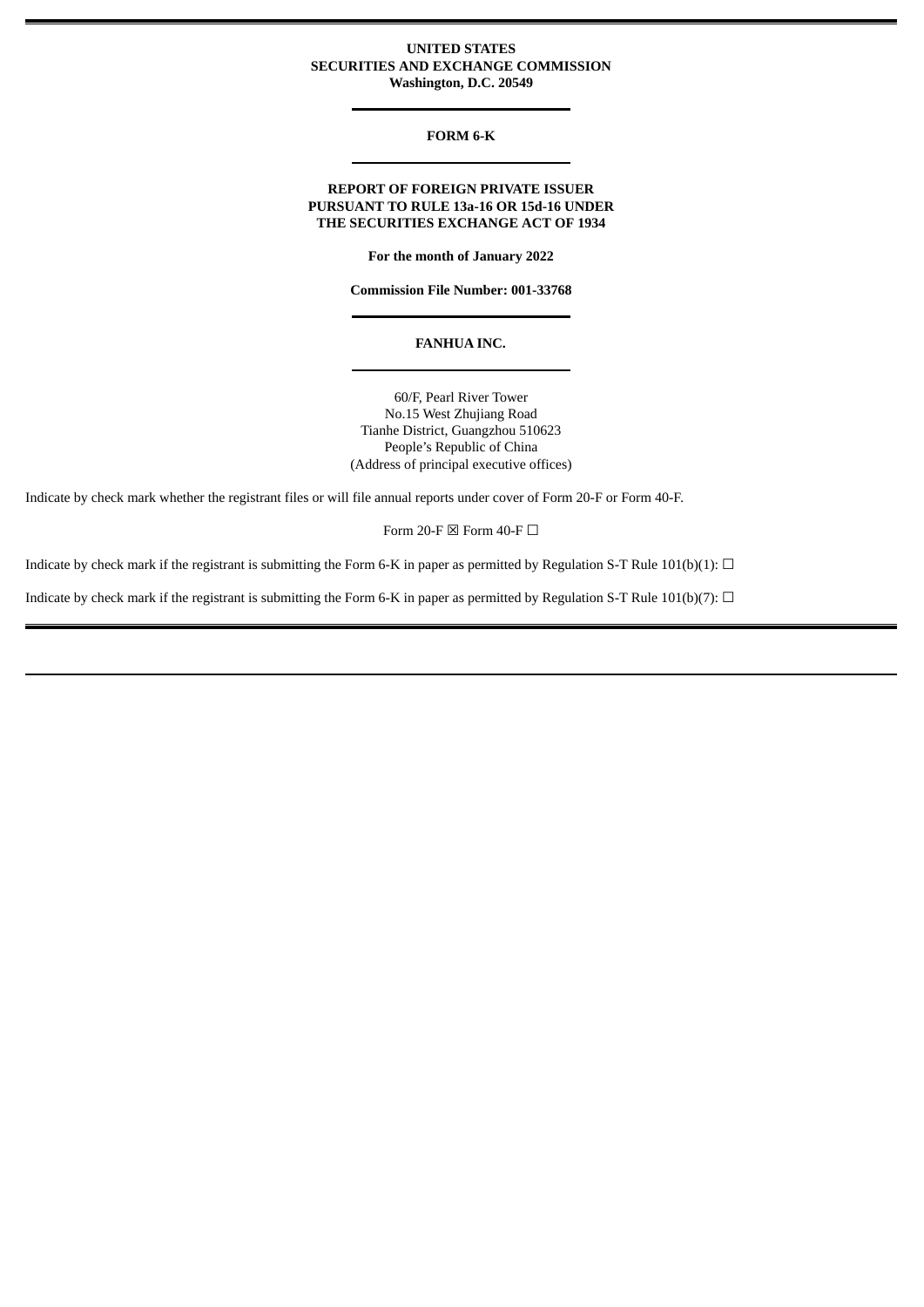# **UNITED STATES SECURITIES AND EXCHANGE COMMISSION Washington, D.C. 20549**

# **FORM 6-K**

# **REPORT OF FOREIGN PRIVATE ISSUER PURSUANT TO RULE 13a-16 OR 15d-16 UNDER THE SECURITIES EXCHANGE ACT OF 1934**

**For the month of January 2022**

**Commission File Number: 001-33768**

#### **FANHUA INC.**

60/F, Pearl River Tower No.15 West Zhujiang Road Tianhe District, Guangzhou 510623 People's Republic of China (Address of principal executive offices)

Indicate by check mark whether the registrant files or will file annual reports under cover of Form 20-F or Form 40-F.

Form 20-F  $\boxtimes$  Form 40-F  $\Box$ 

Indicate by check mark if the registrant is submitting the Form 6-K in paper as permitted by Regulation S-T Rule 101(b)(1):  $\Box$ 

Indicate by check mark if the registrant is submitting the Form 6-K in paper as permitted by Regulation S-T Rule 101(b)(7):  $\Box$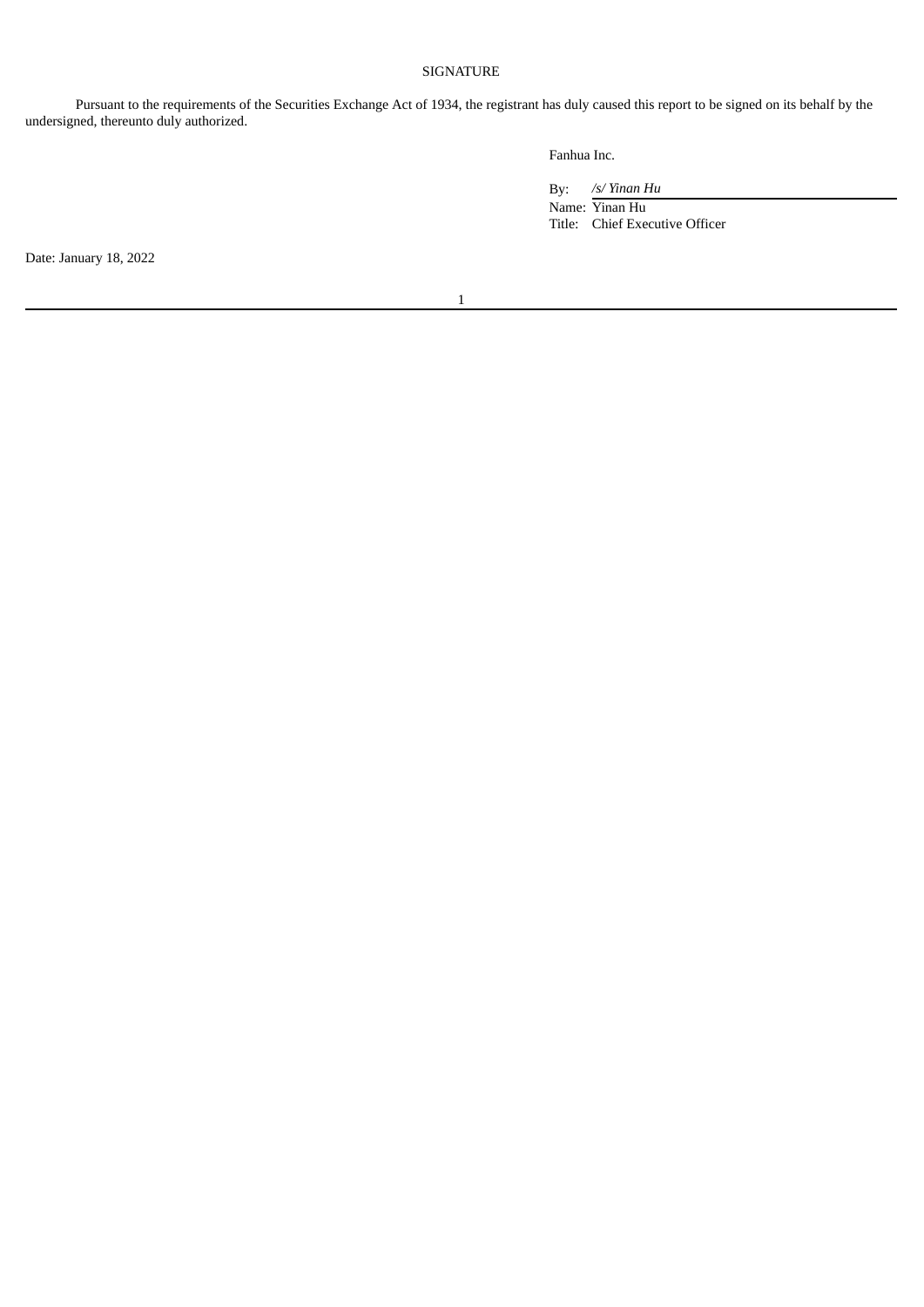# SIGNATURE

Pursuant to the requirements of the Securities Exchange Act of 1934, the registrant has duly caused this report to be signed on its behalf by the undersigned, thereunto duly authorized.

Fanhua Inc.

By: */s/ Yinan Hu* Name: Yinan Hu Title: Chief Executive Officer

Date: January 18, 2022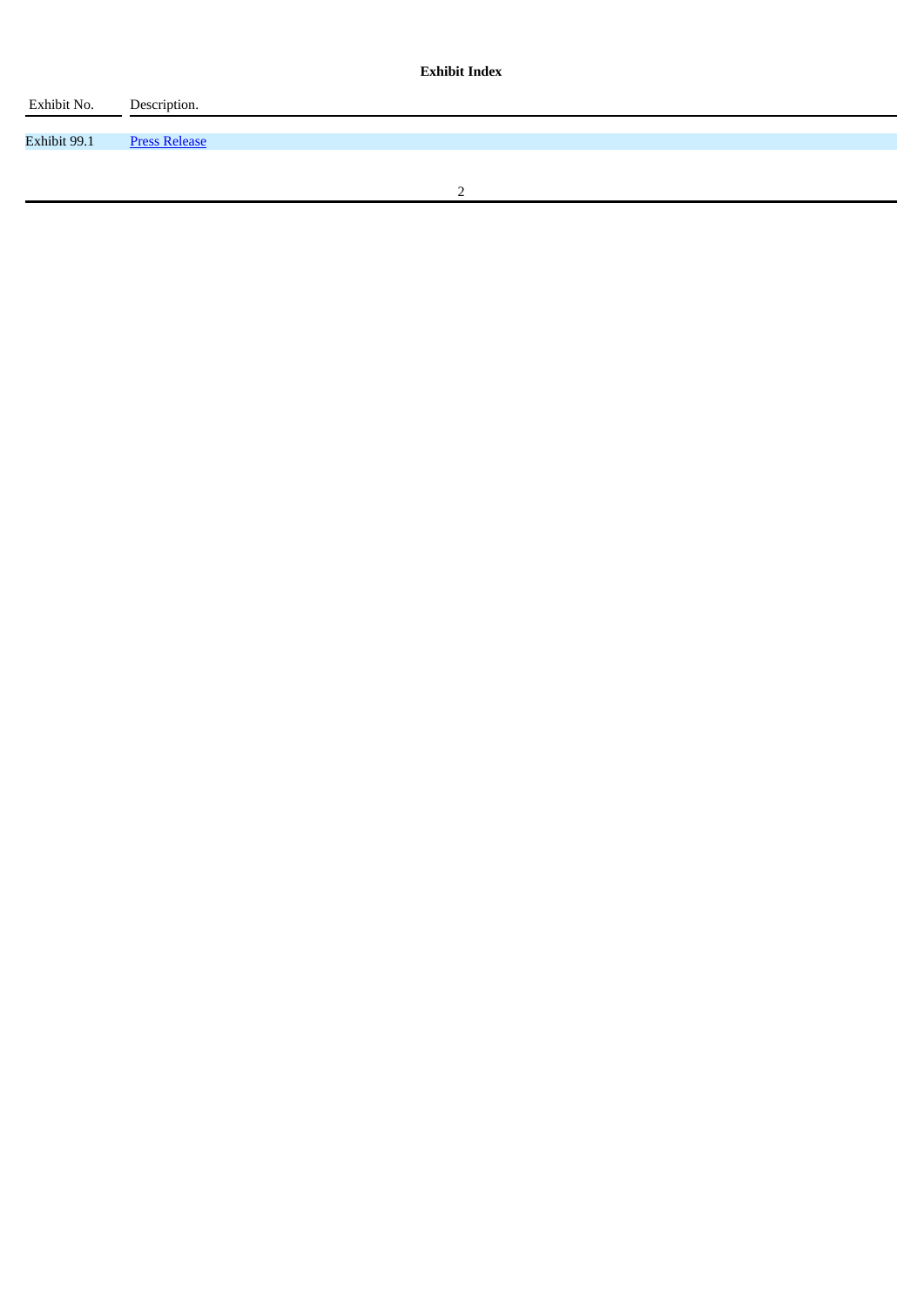| Exhibit No.  | Description.         |
|--------------|----------------------|
|              |                      |
| Exhibit 99.1 | <b>Press Release</b> |
|              |                      |
|              |                      |
|              |                      |
|              |                      |